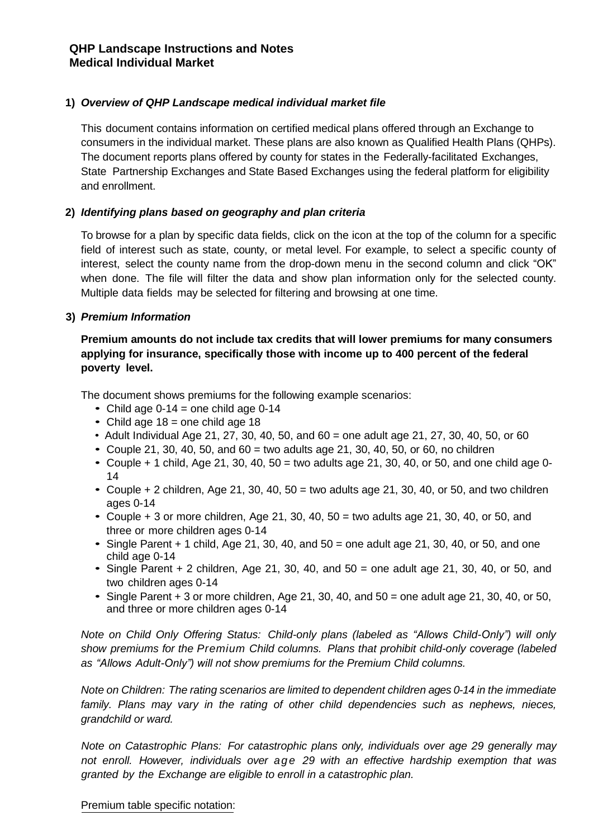## **1)** *Overview of QHP Landscape medical individual market file*

This document contains information on certified medical plans offered through an Exchange to consumers in the individual market. These plans are also known as Qualified Health Plans (QHPs). The document reports plans offered by county for states in the Federally-facilitated Exchanges, State Partnership Exchanges and State Based Exchanges using the federal platform for eligibility and enrollment.

## **2)** *Identifying plans based on geography and plan criteria*

To browse for a plan by specific data fields, click on the icon at the top of the column for a specific field of interest such as state, county, or metal level. For example, to select a specific county of interest, select the county name from the drop-down menu in the second column and click "OK" when done. The file will filter the data and show plan information only for the selected county. Multiple data fields may be selected for filtering and browsing at one time.

## **3)** *Premium Information*

# **Premium amounts do not include tax credits that will lower premiums for many consumers applying for insurance, specifically those with income up to 400 percent of the federal poverty level.**

The document shows premiums for the following example scenarios:

- *•* Child age 0-14 = one child age 0-14
- *•* Child age 18 = one child age 18
- *•* Adult Individual Age 21, 27, 30, 40, 50, and 60 = one adult age 21, 27, 30, 40, 50, or 60
- *•* Couple 21, 30, 40, 50, and 60 = two adults age 21, 30, 40, 50, or 60, no children
- *•* Couple + 1 child, Age 21, 30, 40, 50 = two adults age 21, 30, 40, or 50, and one child age 0- 14
- *•* Couple + 2 children, Age 21, 30, 40, 50 = two adults age 21, 30, 40, or 50, and two children ages 0-14
- *•* Couple + 3 or more children, Age 21, 30, 40, 50 = two adults age 21, 30, 40, or 50, and three or more children ages 0-14
- *•* Single Parent + 1 child, Age 21, 30, 40, and 50 = one adult age 21, 30, 40, or 50, and one child age 0-14
- *•* Single Parent + 2 children, Age 21, 30, 40, and 50 = one adult age 21, 30, 40, or 50, and two children ages 0-14
- *•* Single Parent + 3 or more children, Age 21, 30, 40, and 50 = one adult age 21, 30, 40, or 50, and three or more children ages 0-14

*Note on Child Only Offering Status: Child-only plans (labeled as "Allows Child-Only") will only show premiums for the Premium Child columns. Plans that prohibit child-only coverage (labeled as "Allows Adult-Only") will not show premiums for the Premium Child columns.*

*Note on Children: The rating scenarios are limited to dependent children ages 0-14 in the immediate family. Plans may vary in the rating of other child dependencies such as nephews, nieces, grandchild or ward.*

*Note on Catastrophic Plans: For catastrophic plans only, individuals over age 29 generally may not enroll. However, individuals over ag e 29 with an effective hardship exemption that was granted by the Exchange are eligible to enroll in a catastrophic plan.*

Premium table specific notation: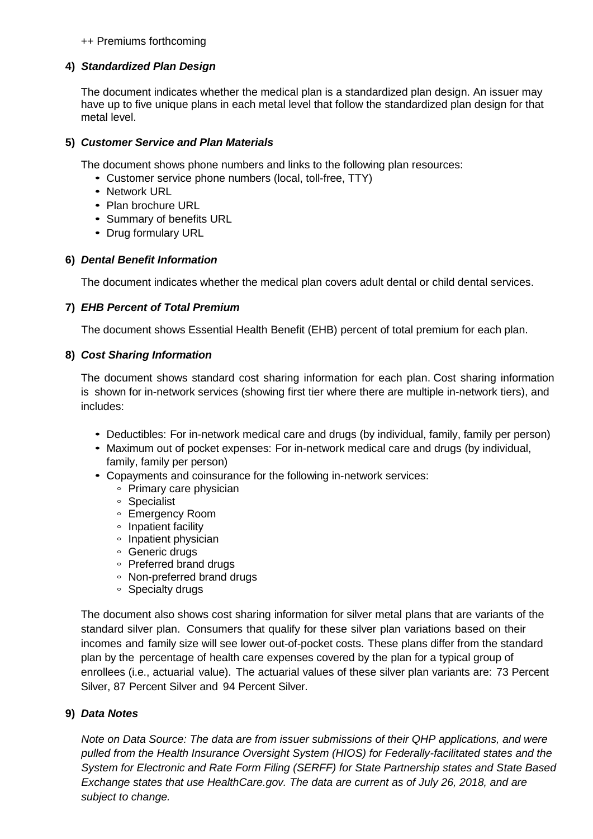#### ++ Premiums forthcoming

#### **4)** *Standardized Plan Design*

The document indicates whether the medical plan is a standardized plan design. An issuer may have up to five unique plans in each metal level that follow the standardized plan design for that metal level.

## **5)** *Customer Service and Plan Materials*

The document shows phone numbers and links to the following plan resources:

- *•* Customer service phone numbers (local, toll-free, TTY)
- *•* Network URL
- *•* Plan brochure URL
- *•* Summary of benefits URL
- *•* Drug formulary URL

## **6)** *Dental Benefit Information*

The document indicates whether the medical plan covers adult dental or child dental services.

## **7)** *EHB Percent of Total Premium*

The document shows Essential Health Benefit (EHB) percent of total premium for each plan.

## **8)** *Cost Sharing Information*

The document shows standard cost sharing information for each plan. Cost sharing information is shown for in-network services (showing first tier where there are multiple in-network tiers), and includes:

- *•* Deductibles: For in-network medical care and drugs (by individual, family, family per person)
- *•* Maximum out of pocket expenses: For in-network medical care and drugs (by individual, family, family per person)
- *•* Copayments and coinsurance for the following in-network services:
	- *◦* Primary care physician
	- *◦* Specialist
	- *◦* Emergency Room
	- *◦* Inpatient facility
	- *◦* Inpatient physician
	- *◦* Generic drugs
	- *◦* Preferred brand drugs
	- *◦* Non-preferred brand drugs
	- *◦* Specialty drugs

The document also shows cost sharing information for silver metal plans that are variants of the standard silver plan. Consumers that qualify for these silver plan variations based on their incomes and family size will see lower out-of-pocket costs. These plans differ from the standard plan by the percentage of health care expenses covered by the plan for a typical group of enrollees (i.e., actuarial value). The actuarial values of these silver plan variants are: 73 Percent Silver, 87 Percent Silver and 94 Percent Silver.

# **9)** *Data Notes*

*Note on Data Source: The data are from issuer submissions of their QHP applications, and were pulled from the Health Insurance Oversight System (HIOS) for Federally-facilitated states and the System for Electronic and Rate Form Filing (SERFF) for State Partnership states and State Based Exchange states that use HealthCare.gov. The data are current as of July 26, 2018, and are subject to change.*